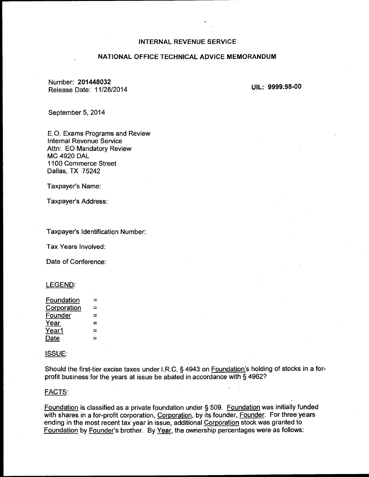## INTERNAL REVENUE SERVICE

# NATIONAL OFFICE TECHNICAL ADVICE MEMORANDUM

Number: 201448032 Release Date: 11/28/2014

UIL: 9999.98-00

September 5, 2014

E.O. Exams Programs and Review Internal Revenue Service Attn: EO Mandatory Review MC 4920 DAL 1100 Commerce Street Dallas, TX 75242

Taxpayer's Name:

Taxpayer's Address:

Taxpayer's Identification Number:

Tax Years Involved:

Date of Conference:

### LEGEND:

| ÷ |
|---|
|   |
|   |

#### ISSUE:

Should the first-tier excise taxes under I.R.C. § 4943 on Foundation's holding of stocks in a forprofit business for the years at issue be abated in accordance with § 4962?

### FACTS:

Foundation is classified as a private foundation under § 509. Foundation was initially funded with shares in a for-profit corporation, Corporation, by its founder, Founder. For three years ending in the most recent tax year in issue, additional Corporation stock was granted to Foundation by Founder's brother. By Year, the ownership percentages were as follows: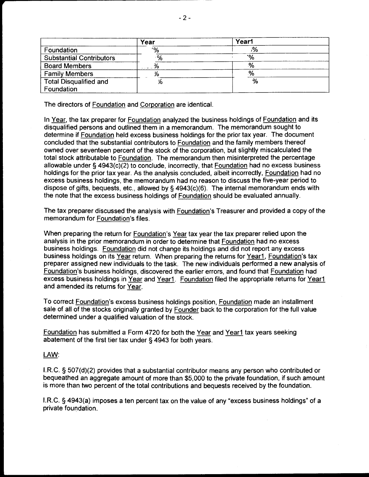|                                 | Year     | Year1 |
|---------------------------------|----------|-------|
| Foundation                      | %'       | %،    |
| <b>Substantial Contributors</b> | $\sim$ % | ۰%    |
| <b>Board Members</b>            |          | %     |
| <b>Family Members</b>           |          | %     |
| <b>Total Disqualified and</b>   | %        | %     |
| Foundation                      |          |       |

The directors of Foundation and Corporation are identical.

In Year, the tax preparer for Foundation analyzed the business holdings of Foundation and its disqualified persons and outlined them in a memorandum. The memorandum sought to determine if Foundation held excess business holdings for the prior tax year. The document concluded that the substantial contributors to Foundation and the family members thereof owned over seventeen percent of the stock of the corporation, but slightly miscalculated the total stock attributable to Foundation. The memorandum then misinterpreted the percentage allowable under § 4943(c)(2) to conclude, incorrectly, that Foundation had no excess business holdings for the prior tax year. As the analysis concluded, albeit incorrectly, Foundation had no excess business holdings, the memorandum had no reason to discuss the five-year period to dispose of gifts, bequests, etc., allowed by§ 4943(c)(6). The internal memorandum ends with the note that the excess business holdings of Foundation should be evaluated annually.

The tax preparer discussed the analysis with Foundation's Treasurer and provided a copy of the memorandum for Foundation's files.

When preparing the return for Foundation's Year tax year the tax preparer relied upon the analysis in the prior memorandum in order to determine that Foundation had no excess business holdings. Foundation did not change its holdings and did not report any excess business holdings on its Year return. When preparing the returns for Year1, Foundation's tax preparer assigned new individuals to the task. The new individuals performed a new analysis of Foundation's business holdings, discovered the earlier errors, and found that Foundation had excess business holdings in Year and Year1. Foundation filed the appropriate returns for Year1 and amended its returns for Year.

To correct Foundation's excess business holdings position, Foundation made an installment sale of all of the stocks originally granted by Founder back to the corporation for the full value determined under a qualified valuation of the stock.

Foundation has submitted a Form 4720 for both the Year and Year1 tax years seeking abatement of the first tier tax under § 4943 for both years.

# LAW:

I.R.C. § 507(d)(2) provides that a substantial contributor means any person who contributed or bequeathed an aggregate amount of more than \$5,000 to the private foundation, if such amount is more than two percent of the total contributions and bequests received by the foundation.

I.R.C. § 4943(a) imposes a ten percent tax on the value of any "excess business holdings" of a private foundation.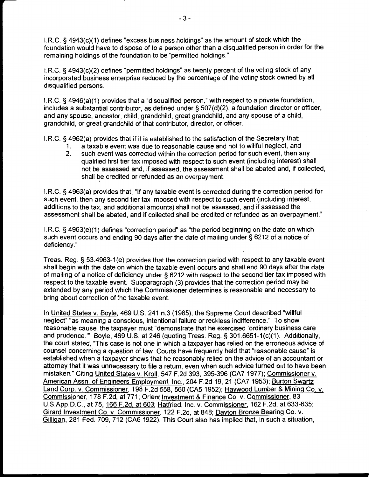I.R.C. § 4943(c)(1) defines "excess business holdings" as the amount of stock which the foundation would have to dispose of to a person other than a disqualified person in order for the remaining holdings of the foundation to be "permitted holdings."

I.R.C. § 4943(c)(2) defines "permitted holdings" as twenty percent of the voting stock of any incorporated business enterprise reduced by the percentage of the voting stock owned by all disqualified persons.

I.R.C. § 4946(a)(1) provides that a "disqualified person," with respect to a private foundation, includes a substantial contributor, as defined under§ 507(d)(2), a foundation director or officer, and any spouse, ancestor, child, grandchild, great grandchild, and any spouse of a child, grandchild, or great grandchild of that contributor, director, or officer.

I.R.C. § 4962(a) provides that if it is established to the satisfaction of the Secretary that:

- 1. a taxable event was due to reasonable cause and not to willful neglect, and
- 2. such event was corrected within the correction period for such event, then any qualified first tier tax imposed with respect to such event (including interest) shall not be assessed and, if assessed, the assessment shall be abated and, if collected, shall be credited or refunded as an overpayment.

I.R.C. § 4963(a) provides that, "If any taxable event is corrected during the correction period for such event, then any second tier tax imposed with respect to such event (including interest, additions to the tax, and additional amounts) shall not be assessed, and if assessed the assessment shall be abated, and if collected shall be credited or refunded as an overpayment."

I.R.C. § 4963(e)(1) defines "correction period" as "the period beginning on the date on which such event occurs and ending 90 days after the date of mailing under§ 6212 of a notice of deficiency."

Treas. Reg.§ 53.4963-1(e) provides that the correction period with respect to any taxable event shall begin with the date on which the taxable event occurs and shall end 90 days after the date of mailing of a notice of deficiency under§ 6212 with respect to the second tier tax imposed with respect to the taxable event. Subparagraph (3) provides that the correction period may be extended by any period which the Commissioner determines is reasonable and necessary to bring about correction of the taxable event.

In United States v. Boyle, 469 U.S. 241 n.3 (1985), the Supreme Court described "willful neglect" "as meaning a conscious, intentional failure or reckless indifference." To show reasonable cause, the taxpayer must "demonstrate that he exercised 'ordinary business care and prudence."' Boyle, 469 U.S. at 246 (quoting Treas. Reg.§ 301.6651-1(c)(1). Additionally, the court stated, "This case is not one in which a taxpayer has relied on the erroneous advice of counsel concerning a question of law. Courts have frequently held that "reasonable cause" is established when a taxpayer shows that he reasonably relied on the advice of an accountant or attorney that it was unnecessary to file a return, even when such advice turned out to have been mistaken." Citing United States v. Kroll, 547 F.2d 393, 395-396 (CA7 1977); Commissioner v. American Assn. of Engineers Employment. Inc., 204 F.2d 19, 21 (CA7 1953); Burton Swartz Land Corp. v. Commissioner, 198 F.2d 558, 560 (CAS 1952); Haywood Lumber & Mining Co. v. Commissioner, 178 F.2d, at 771; Orient Investment & Finance Co. v. Commissioner, 83 U.S.App.D.C., at 75, 166 F.2d, at 603; Hatfried, Inc. v. Commissioner, 162 F.2d, at 633-635; Girard Investment Co. v. Commissioner, 122 F.2d, at 848; Dayton Bronze Bearing Co. v. Gilligan, 281 Fed. 709, 712 (CA6 1922). This Court also has implied that, in such a situation,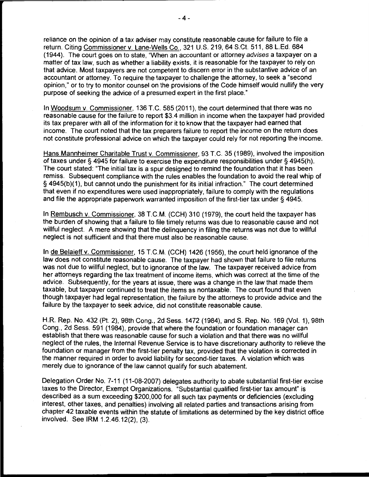reliance on the opinion of a tax adviser may constitute reasonable cause for failure to file a return. Citing Commissioner v. Lane-Wells Co., 321 U.S. 219, 64 S.Ct. 511, 88 L.Ed. 684 (1944). The court goes on to state, "When an accountant or attorney advises a taxpayer on a matter of tax law, such as whether a liability exists, it is reasonable for the taxpayer to rely on that advice. Most taxpayers are not competent to discern error in the substantive advice of an accountant or attorney. To require the taxpayer to challenge the attorney, to seek a "second opinion," or to try to monitor counsel on the provisions of the Code himself would nullify the very purpose of seeking the advice of a presumed expert in the first place."

In Woodsum v. Commissioner, 136 T.C. 585 (2011 ), the court determined that there was no reasonable cause for the failure to report \$3.4 million in income when the taxpayer had provided its tax preparer with all of the information for it to know that the taxpayer had earned that income. The court noted that the tax preparers failure to report the income on the return does not constitute professional advice on which the taxpayer could rely for not reporting the income.

Hans Mannheimer Charitable Trust v. Commissioner, 93 T.C. 35 (1989), involved the imposition of taxes under § 4945 for failure to exercise the expenditure responsibilities under § 4945(h). The court stated: 'The initial tax is a spur designed to remind the foundation that it has been remiss. Subsequent compliance with the rules enables the foundation to avoid the real whip of § 4945(b)(1), but cannot undo the punishment for its initial infraction." The court determined that even if no expenditures were used inappropriately, failure to comply with the regulations and file the appropriate paperwork warranted imposition of the first-tier tax under§ 4945.

In Rembusch v. Commissioner, 38 T.C.M. (CCH) 310 (1979), the court held the taxpayer has the burden of showing that a failure to file timely returns was due to reasonable cause and not willful neglect. A mere showing that the delinquency in filing the returns was not due to willful neglect is not sufficient and that there must also be reasonable cause.

In de Belaieff v. Commissioner, 15 T.C.M. (CCH) 1426 (1956), the court held ignorance of the law does not constitute reasonable cause. The taxpayer had shown that failure to file returns was not due to willful neglect, but to ignorance of the law. The taxpayer received advice from her attorneys regarding the tax treatment of income items, which was correct at the time of the advice. Subsequently, for the years at issue, there was a change in the law that made them taxable, but taxpayer continued to treat the items as nontaxable. The court found that even though taxpayer had legal representation, the failure by the attorneys to provide advice and the failure by the taxpayer to seek advice, did not constitute reasonable cause.

H.R. Rep. No. 432 (Pt. 2), 98th Cong., 2d Sess. 1472 (1984), and S. Rep. No. 169 (Vol. 1), 98th Cong., 2d Sess. 591 (1984), provide that where the foundation or foundation manager can establish that there was reasonable cause for such a violation and that there was no willful neglect of the rules, the Internal Revenue Service is to have discretionary authority to relieve the foundation or manager from the first-tier penalty tax, provided that the violation is corrected in the manner required in order to avoid liability for second-tier taxes. A violation which was merely due to ignorance of the law cannot qualify for such abatement.

Delegation Order No. 7-11 (11-08-2007) delegates authority to abate substantial first-tier excise taxes to the Director, Exempt Organizations. "Substantial qualified first-tier tax amount" is described as a sum exceeding \$200,000 for all such tax payments or deficiencies (excluding interest, other taxes, and penalties) involving all related parties and transactions arising from chapter 42 taxable events within the statute of limitations as determined by the key district office involved. See IRM 1.2.46.12(2), (3).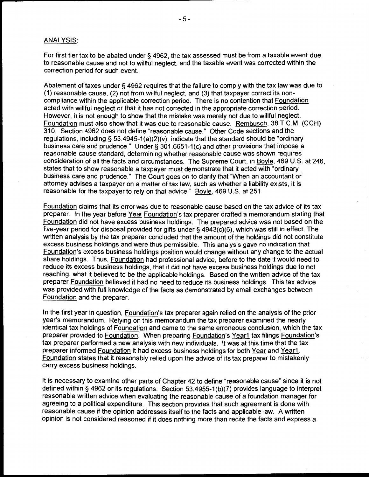## ANALYSIS:

For first tier tax to be abated under § 4962, the tax assessed must be from a taxable event due to reasonable cause and not to willful neglect, and the taxable event was corrected within the correction period for such event.

Abatement of taxes under § 4962 requires that the failure to comply with the tax law was due to (1) reasonable cause, (2) not from willful neglect, and (3) that taxpayer correct its noncompliance within the applicable correction period. There is no contention that Foundation acted with willful neglect or that it has not corrected in the appropriate correction period. However, it is not enough to show that the mistake was merely not due to willful neglect, Foundation must also show that it was due to reasonable cause. Rembusch, 38 T.C.M. (CCH) 310. Section 4962 does not define "reasonable cause." Other Code sections and the regulations, including § 53.4945-1(a)(2)(v), indicate that the standard should be "ordinary business care and prudence." Under§ 301.6651-1 (c) and other provisions that impose a reasonable cause standard, determining whether reasonable cause was shown requires consideration of all the facts and circumstances. The Supreme Court, in Boyle, 469 U.S. at 246, states that to show reasonable a taxpayer must demonstrate that it acted with "ordinary business care and prudence." The Court goes on to clarify that "When an accountant or attorney advises a taxpayer on a matter of tax law, such as whether a liability exists, it is reasonable for the taxpayer to rely on that advice." Boyle, 469 U.S. at 251.

Foundation claims that its error was due to reasonable cause based on the tax advice of its tax preparer. In the year before Year Foundation's tax preparer drafted a memorandum stating that Foundation did not have excess business holdings. The prepared advice was not based on the five-year period for disposal provided for gifts under§ 4943(c)(6), which was still in effect. The written analysis by the tax preparer concluded that the amount of the holdings did not constitute excess business holdings and were thus permissible. This analysis gave no indication that Foundation's excess business holdings position would change without any change to the actual share holdings. Thus, Foundation had professional advice, before to the date it would need to reduce its excess business holdings, that it did not have excess business holdings due to not reaching, what it believed to be the applicable holdings. Based on the written advice of the tax preparer Foundation believed it had no need to reduce its business holdings. This tax advice was provided with full knowledge of the facts as demonstrated by email exchanges between Foundation and the preparer.

In the first year in question, Foundation's tax preparer again relied on the analysis of the prior year's memorandum. Relying on this memorandum the tax preparer examined the nearly identical tax holdings of Foundation and came to the same erroneous conclusion, which the tax preparer provided to Foundation. When preparing Foundation's Year1 tax filings Foundation's tax preparer performed a new analysis with new individuals. It was at this time that the tax preparer informed Foundation it had excess business holdings for both Year and Year1. Foundation states that it reasonably relied upon the advice of its tax preparer to mistakenly carry excess business holdings.

It is necessary to examine other parts of Chapter 42 to define "reasonable cause" since it is not defined within § 4962 or its regulations. Section 53.4955-1 (b)(?) provides language to interpret reasonable written advice when evaluating the reasonable cause of a foundation manager for agreeing to a political expenditure. This section provides that such agreement is done with reasonable cause if the opinion addresses itself to the facts and applicable law. A written opinion is not considered reasoned if it does nothing more than recite the facts and express a